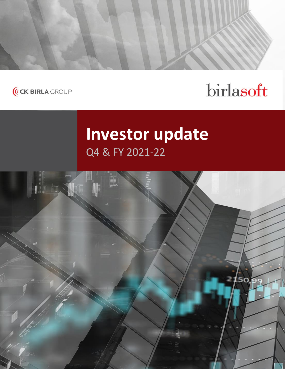



# birlasoft

# **Investor update** Q4 & FY 2021-22

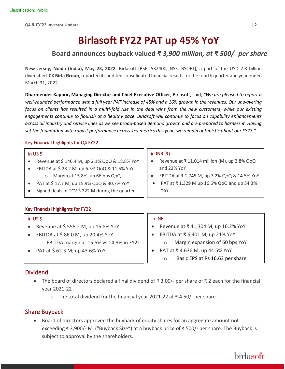# **Birlasoft FY22 PAT up 45% YoY**

### **Board announces buyback valued** *₹ 3,900 million, at ₹ 500/- per share*

**New Jersey, Noida (India), May 23, 2022**: Birlasoft [BSE: 532400, NSE: BSOFT], a part of the USD 2.8 billion diversified **CK Birla Group**, reported its audited consolidated financial results for the fourth quarter and year ended March 31, 2022.

**Dharmender Kapoor, Managing Director and Chief Executive Officer**, Birlasoft, said, *"We are pleased to report a well-rounded performance with a full year PAT increase of 45% and a 16% growth in the revenues. Our unwavering*  focus on clients has resulted in a multi-fold rise in the deal wins from the new customers, while our existing *engagements continue to flourish at a healthy pace. Birlasoft will continue to focus on capability enhancements across all industry and service lines as we see broad-based demand growth and are prepared to harness it. Having set the foundation with robust performance across key metrics this year, we remain optimistic about our FY23."*

### Key Financial highlights for Q4 FY22

### in US \$

- Revenue at \$ 146.4 M, up 2.1% QoQ & 18.8% YoY
- EBITDA at \$ 23.2 M, up 6.5% QoQ & 11.5% YoY o Margin at 15.8%, up 66 bps QoQ
- PAT at \$ 17.7 M, up 15.9% QoQ & 30.7% YoY
- Signed deals of TCV  $$$  222 M during the quarter

### Key Financial highlights for FY22

### m in US \$

- Revenue at \$ 555.2 M, up 15.8% YoY
- EBITDA at  $\frac{2}{3}$  86.0 M, up 20.4% YoY o EBITDA margin at 15.5% vs 14.9% in FY21
- PAT at \$ 62.3 M; up 43.6% YoY

### in INR (**₹**)

- Revenue at ₹ 11,014 million (M), up 2.8% QoQ and 22% YoY
- EBITDA at ₹ 1,745 M, up 7.2% QoQ & 14.5% YoY
- PAT at ₹ 1,329 M up 16.6% QoQ and up 34.3% YoY

#### in INR

- Revenue at ₹ 41,304 M, up 16.2% YoY
- EBITDA at ₹ 6,401 M, up 21% YoY o Margin expansion of 60 bps YoY
- PAT at ₹ 4,636 M, up 44.5% YoY o Basic EPS at Rs 16.63 per share

### Dividend

 $\overline{a}$ 

- The board of directors declared a final dividend of ₹ 3.00/- per share of ₹ 2 each for the financial year 2021-22
	- o The total dividend for the financial year 2021-22 at ₹ 4.50/- per share.

### Share Buyback

• Board of directors approved the buyback of equity shares for an aggregate amount not exceeding ₹ 3,900/- M ("Buyback Size") at a buyback price of ₹ 500/- per share. The Buyback is subject to approval by the shareholders.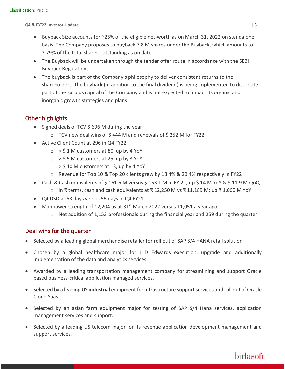- Buyback Size accounts for ~25% of the eligible net-worth as on March 31, 2022 on standalone basis. The Company proposes to buyback 7.8 M shares under the Buyback, which amounts to 2.79% of the total shares outstanding as on date.
- The Buyback will be undertaken through the tender offer route in accordance with the SEBI Buyback Regulations.
- The buyback is part of the Company's philosophy to deliver consistent returns to the shareholders. The buyback (in addition to the final dividend) is being implemented to distribute part of the surplus capital of the Company and is not expected to impact its organic and inorganic growth strategies and plans

### Other highlights

- Signed deals of TCV \$ 696 M during the year
	- o TCV new deal wins of \$ 444 M and renewals of \$ 252 M for FY22
- Active Client Count at 296 in Q4 FY22
	- $\circ$  > \$ 1 M customers at 80, up by 4 YoY
	- $\circ$  > \$ 5 M customers at 25, up by 3 YoY
	- $\circ$  > \$10 M customers at 13, up by 4 YoY
	- o Revenue for Top 10 & Top 20 clients grew by 18.4% & 20.4% respectively in FY22
- Cash & Cash equivalents of \$161.6 M versus \$153.1 M in FY 21; up \$14 M YoY & \$11.9 M QoQ
	- o In ₹ terms, cash and cash equivalents at ₹ 12,250 M vs ₹ 11,189 M; up ₹ 1,060 M YoY
- Q4 DSO at 58 days versus 56 days in Q4 FY21
- Manpower strength of 12,204 as at  $31^{st}$  March 2022 versus 11,051 a year ago
	- $\circ$  Net addition of 1,153 professionals during the financial year and 259 during the quarter

### Deal wins for the quarter

- Selected by a leading global merchandise retailer for roll out of SAP S/4 HANA retail solution.
- Chosen by a global healthcare major for J D Edwards execution, upgrade and additionally implementation of the data and analytics services.
- Awarded by a leading transportation management company for streamlining and support Oracle based business-critical application managed services.
- Selected by a leading US industrial equipment for infrastructure support services and roll out of Oracle Cloud Saas.
- Selected by an asian farm equipment major for testing of SAP S/4 Hana services, application management services and support.
- Selected by a leading US telecom major for its revenue application development management and support services.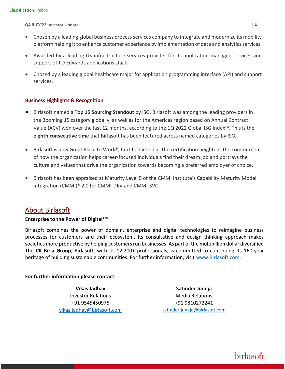- Chosen by a leading global business process services company to integrate and modernize its mobility platform helping it to enhance customer experience by implementation of data and analytics services.
- Awarded by a leading US infrastructure services provider for its application managed services and support of J D Edwards applications stack.
- Chosed by a leading global healthcare major for application programming interface (API) and support services.

### **Business Highlights & Recognition**

- Birlasoft named a **Top 15 Sourcing Standout** by ISG. Birlasoft was among the leading providers in the Booming 15 category globally, as well as for the Americas region based on Annual Contract Value (ACV) won over the last 12 months, according to the 1Q 2022 Global ISG Index™. This is the **eighth consecutive time** that Birlasoft has been featured across named categories by ISG.
- Birlasoft is now Great Place to Work<sup>®</sup>, Certified in India. The certification heightens the commitment of how the organization helps career-focused individuals find their dream job and portrays the culture and values that drive the organization towards becoming a preferred employer of choice.
- Birlasoft has been appraised at Maturity Level 5 of the CMMI Institute's Capability Maturity Model Integration (CMMI)® 2.0 for CMMI-DEV and CMMI-SVC.

### About Birlasoft

### **Enterprise to the Power of DigitalTM**

Birlasoft combines the power of domain, enterprise and digital technologies to reimagine business processes for customers and their ecosystem. Its consultative and design thinking approach makes societies more productive by helping customers run businesses. As part of the multibillion dollar diversified The **CK Birla Group**, Birlasoft, with its 12,200+ professionals, is committed to continuing its 160-year heritage of building sustainable communities. For further information, visit [www.Birlasoft.com.](http://www.birlasoft.com/)

### **For further information please contact:**

**Vikas Jadhav** Investor Relations +91 9545450975 [vikas.jadhav@birlasoft.com](mailto:vikas.jadhav@birlasoft.com) 

**Satinder Juneja** Media Relations +91 9810272241 [satinder.juneja@birlasoft.com](mailto:satinder.juneja@birlasoft.com)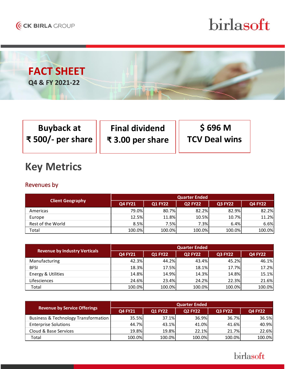

# *<u>Internative Update Birlasoft</u>*



| <b>Buyback at</b>                             | <b>Final dividend</b> | <b>S 696 M</b>       |
|-----------------------------------------------|-----------------------|----------------------|
| $\frac{1}{4}$ ₹ 500/- per share $\frac{1}{4}$ | ₹3.00 per share       | <b>TCV Deal wins</b> |

# **Key Metrics**

## Revenues by

| <b>Client Geography</b> | <b>Quarter Ended</b> |                |                |                |                |  |
|-------------------------|----------------------|----------------|----------------|----------------|----------------|--|
|                         | <b>Q4 FY21</b>       | <b>Q1 FY22</b> | <b>Q2 FY22</b> | <b>Q3 FY22</b> | <b>Q4 FY22</b> |  |
| Americas                | 79.0%                | 80.7%          | 82.2%          | 82.9%          | 82.2%          |  |
| Europe                  | 12.5%                | 11.8%          | 10.5%          | 10.7%          | 11.2%          |  |
| Rest of the World       | 8.5%                 | 7.5%           | 7.3%           | 6.4%           | 6.6%           |  |
| Total                   | 100.0%               | 100.0%         | 100.0%         | 100.0%         | 100.0%         |  |

| <b>Revenue by Industry Verticals</b> | <b>Quarter Ended</b> |                |                |                |                |  |
|--------------------------------------|----------------------|----------------|----------------|----------------|----------------|--|
|                                      | <b>Q4 FY21</b>       | <b>Q1 FY22</b> | <b>Q2 FY22</b> | <b>Q3 FY22</b> | <b>Q4 FY22</b> |  |
| Manufacturing                        | 42.3%                | 44.2%          | 43.4%          | 45.2%          | 46.1%          |  |
| <b>BFSI</b>                          | 18.3%                | 17.5%          | 18.1%          | 17.7%          | 17.2%          |  |
| Energy & Utilities                   | 14.8%                | 14.9%          | 14.3%          | 14.8%          | 15.1%          |  |
| Lifesciences                         | 24.6%                | 23.4%          | 24.2%          | 22.3%          | 21.6%          |  |
| Total                                | 100.0%               | 100.0%         | 100.0%         | 100.0%         | 100.0%         |  |

| <b>Revenue by Service Offerings</b>  | <b>Quarter Ended</b> |                |                |                |                |  |
|--------------------------------------|----------------------|----------------|----------------|----------------|----------------|--|
|                                      | <b>Q4 FY21</b>       | <b>Q1 FY22</b> | <b>Q2 FY22</b> | <b>Q3 FY22</b> | <b>Q4 FY22</b> |  |
| Business & Technology Transformation | 35.5%                | 37.1%          | 36.9%          | 36.7%          | 36.5%          |  |
| <b>Enterprise Solutions</b>          | 44.7%                | 43.1%          | 41.0%          | 41.6%          | 40.9%          |  |
| Cloud & Base Services                | 19.8%                | 19.8%          | 22.1%          | 21.7%          | 22.6%          |  |
| Total                                | 100.0%               | 100.0%         | 100.0%         | 100.0%         | 100.0%         |  |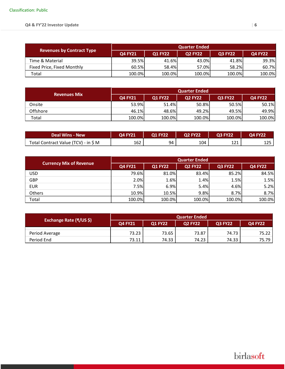| <b>Revenues by Contract Type</b> | <b>Quarter Ended</b> |                |                |                |                |  |  |
|----------------------------------|----------------------|----------------|----------------|----------------|----------------|--|--|
|                                  | <b>Q4 FY21</b>       | <b>Q1 FY22</b> | <b>Q2 FY22</b> | <b>Q3 FY22</b> | <b>Q4 FY22</b> |  |  |
| Time & Material                  | 39.5%                | 41.6%          | 43.0%          | 41.8%          | 39.3%          |  |  |
| Fixed Price, Fixed Monthly       | 60.5%                | 58.4%          | 57.0%          | 58.2%l         | 60.7%          |  |  |
| Total                            | 100.0%               | 100.0%         | 100.0%         | 100.0%         | 100.0%         |  |  |

| <b>Revenues Mix</b> | <b>Quarter Ended</b> |                |                |                |                |  |
|---------------------|----------------------|----------------|----------------|----------------|----------------|--|
|                     | <b>Q4 FY21</b>       | <b>O1 FY22</b> | <b>Q2 FY22</b> | <b>Q3 FY22</b> | <b>Q4 FY22</b> |  |
| Onsite              | 53.9%                | 51.4%          | 50.8%          | 50.5%          | 50.1%          |  |
| Offshore            | 46.1%                | 48.6%          | 49.2%          | 49.5%          | 49.9%          |  |
| Total               | 100.0%               | 100.0%         | 100.0%         | 100.0%         | 100.0%         |  |

| <b>Deal Wins - New</b>               | Q4 FY21 | <b>Q1 FY22</b> | <b>Q2 FY22</b> | <b>Q3 FY22</b> | O4 FY22    |
|--------------------------------------|---------|----------------|----------------|----------------|------------|
| Total Contract Value (TCV) - in \$ M | 162     | 94             | 104            | 171<br>┸᠘┸     | 1つに<br>⊥∠⊐ |

| <b>Currency Mix of Revenue</b> | <b>Quarter Ended</b> |                |                |                |                |  |
|--------------------------------|----------------------|----------------|----------------|----------------|----------------|--|
|                                | <b>Q4 FY21</b>       | <b>Q1 FY22</b> | <b>Q2 FY22</b> | <b>Q3 FY22</b> | <b>Q4 FY22</b> |  |
| <b>USD</b>                     | 79.6%                | 81.0%          | 83.4%          | 85.2%          | 84.5%          |  |
| GBP                            | 2.0%                 | 1.6%           | 1.4%           | 1.5%           | 1.5%           |  |
| <b>EUR</b>                     | 7.5%                 | 6.9%           | 5.4%           | 4.6%           | 5.2%           |  |
| Others                         | 10.9%                | 10.5%          | 9.8%           | 8.7%           | 8.7%           |  |
| Total                          | 100.0%               | 100.0%         | 100.0%         | 100.0%         | 100.0%         |  |

| Exchange Rate (₹/US \$) | <b>Quarter Ended</b> |                |                |                |                |  |
|-------------------------|----------------------|----------------|----------------|----------------|----------------|--|
|                         | <b>Q4 FY21</b>       | <b>Q1 FY22</b> | <b>Q2 FY22</b> | <b>Q3 FY22</b> | <b>Q4 FY22</b> |  |
| Period Average          | 73.23                | 73.65          | 73.87          | 74.73          | 75.22 l        |  |
| Period End              | 73.11                | 74.33          | 74.23          | 74.33          | 75.79 I        |  |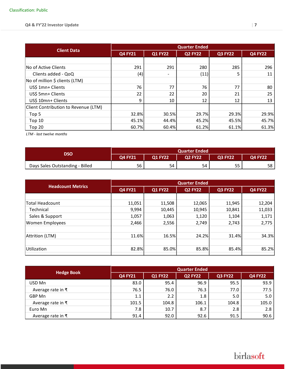| <b>Client Data</b>                   | <b>Quarter Ended</b> |                |                |                |                |  |
|--------------------------------------|----------------------|----------------|----------------|----------------|----------------|--|
|                                      | <b>Q4 FY21</b>       | <b>Q1 FY22</b> | <b>Q2 FY22</b> | <b>Q3 FY22</b> | <b>Q4 FY22</b> |  |
|                                      |                      |                |                |                |                |  |
| No of Active Clients                 | 291                  | 291            | 280            | 285            | 296            |  |
| Clients added - QoQ                  | (4)                  | -              | (11)           | 5              | 11             |  |
| No of million \$ clients (LTM)       |                      |                |                |                |                |  |
| US\$ 1mn+ Clients                    | 76                   | 77             | 76             | 77             | 80             |  |
| US\$ 5mn+ Clients                    | 22                   | 22             | 20             | 21             | 25             |  |
| US\$ 10mn+ Clients                   | 9                    | 10             | 12             | 12             | 13             |  |
| Client Contribution to Revenue (LTM) |                      |                |                |                |                |  |
| Top 5                                | 32.8%                | 30.5%          | 29.7%          | 29.3%          | 29.9%          |  |
| Top 10                               | 45.1%                | 44.4%          | 45.2%          | 45.5%          | 45.7%          |  |
| Top 20                               | 60.7%                | 60.4%          | 61.2%          | 61.1%          | 61.3%          |  |

*LTM - last twelve months*

| <b>DSO</b>                      | <b>Quarter Ended</b> |                |                |                |                |  |
|---------------------------------|----------------------|----------------|----------------|----------------|----------------|--|
|                                 | <b>Q4 FY21</b>       | <b>Q1 FY22</b> | <b>Q2 FY22</b> | <b>Q3 FY22</b> | <b>Q4 FY22</b> |  |
| Days Sales Outstanding - Billed | 56                   | 54             | 54             | 55             | 58             |  |

|                          |                | <b>Quarter Ended</b> |                |                |                |  |  |
|--------------------------|----------------|----------------------|----------------|----------------|----------------|--|--|
| <b>Headcount Metrics</b> | <b>Q4 FY21</b> | <b>Q1 FY22</b>       | <b>Q2 FY22</b> | <b>Q3 FY22</b> | <b>Q4 FY22</b> |  |  |
|                          |                |                      |                |                |                |  |  |
| <b>Total Headcount</b>   | 11,051         | 11,508               | 12,065         | 11,945         | 12,204         |  |  |
| Technical                | 9,994          | 10,445               | 10,945         | 10,841         | 11,033         |  |  |
| Sales & Support          | 1,057          | 1,063                | 1,120          | 1,104          | 1,171          |  |  |
| <b>Women Employees</b>   | 2,466          | 2,556                | 2,749          | 2,743          | 2,775          |  |  |
|                          |                |                      |                |                |                |  |  |
| Attrition (LTM)          | 11.6%          | 16.5%                | 24.2%          | 31.4%          | 34.3%          |  |  |
|                          |                |                      |                |                |                |  |  |
| Utilization              | 82.8%          | 85.0%                | 85.8%          | 85.4%          | 85.2%          |  |  |
|                          |                |                      |                |                |                |  |  |

|                              | <b>Quarter Ended</b> |                  |                |                |                |  |  |
|------------------------------|----------------------|------------------|----------------|----------------|----------------|--|--|
| <b>Hedge Book</b>            | <b>Q4 FY21</b>       | <b>Q1 FY22</b>   | <b>Q2 FY22</b> | <b>Q3 FY22</b> | <b>Q4 FY22</b> |  |  |
| USD Mn                       | 83.0                 | 95.4             | 96.9           | 95.5           | 93.9           |  |  |
| Average rate in $\bar{\tau}$ | 76.5                 | 76.0             | 76.3           | 77.0           | 77.5           |  |  |
| GBP Mn                       | 1.1                  | $2.2\phantom{0}$ | 1.8            | 5.0            | 5.0            |  |  |
| Average rate in ₹            | 101.5                | 104.8            | 106.1          | 104.8          | 105.0          |  |  |
| Euro Mn                      | 7.8                  | 10.7             | 8.7            | 2.8            | 2.8            |  |  |
| Average rate in $\bar{z}$    | 91.4                 | 92.0             | 92.6           | 91.5           | 90.6           |  |  |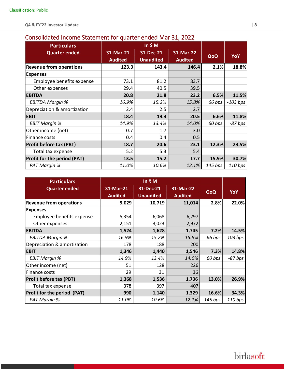## Consolidated Income Statement for quarter ended Mar 31, 2022

| <b>Particulars</b>             |                |                  |                |         |            |
|--------------------------------|----------------|------------------|----------------|---------|------------|
| <b>Quarter ended</b>           | 31-Mar-21      | 31-Dec-21        | 31-Mar-22      |         |            |
|                                | <b>Audited</b> | <b>Unaudited</b> | <b>Audited</b> | QoQ     | <b>YoY</b> |
| <b>Revenue from operations</b> | 123.3          | 143.4            | 146.4          | 2.1%    | 18.8%      |
| <b>Expenses</b>                |                |                  |                |         |            |
| Employee benefits expense      | 73.1           | 81.2             | 83.7           |         |            |
| Other expenses                 | 29.4           | 40.5             | 39.5           |         |            |
| <b>EBITDA</b>                  | 20.8           | 21.8             | 23.2           | 6.5%    | 11.5%      |
| <b>EBITDA Margin %</b>         | 16.9%          | 15.2%            | 15.8%          | 66 bps  | $-103$ bps |
| Depreciation & amortization    | 2.4            | 2.5              | 2.7            |         |            |
| <b>EBIT</b>                    | 18.4           | 19.3             | 20.5           | 6.6%    | 11.8%      |
| <b>EBIT Margin %</b>           | 14.9%          | 13.4%            | 14.0%          | 60 bps  | -87 bps    |
| Other income (net)             | 0.7            | 1.7              | 3.0            |         |            |
| Finance costs                  | 0.4            | 0.4              | 0.5            |         |            |
| <b>Profit before tax (PBT)</b> | 18.7           | 20.6             | 23.1           | 12.3%   | 23.5%      |
| Total tax expense              | 5.2            | 5.3              | 5.4            |         |            |
| Profit for the period (PAT)    | 13.5           | 15.2             | 17.7           | 15.9%   | 30.7%      |
| PAT Margin %                   | 11.0%          | 10.6%            | 12.1%          | 145 bps | 110 bps    |

| <b>Particulars</b>                 |                |                  |                |         |            |
|------------------------------------|----------------|------------------|----------------|---------|------------|
| <b>Quarter ended</b>               | 31-Mar-21      | 31-Dec-21        | 31-Mar-22      |         |            |
|                                    | <b>Audited</b> | <b>Unaudited</b> | <b>Audited</b> | QoQ     | <b>YoY</b> |
| <b>Revenue from operations</b>     | 9,029          | 10,719           | 11,014         | 2.8%    | 22.0%      |
| <b>Expenses</b>                    |                |                  |                |         |            |
| Employee benefits expense          | 5,354          | 6,068            | 6,297          |         |            |
| Other expenses                     | 2,151          | 3,023            | 2,972          |         |            |
| <b>EBITDA</b>                      | 1,524          | 1,628            | 1,745          | 7.2%    | 14.5%      |
| <b>EBITDA Margin %</b>             | 16.9%          | 15.2%            | 15.8%          | 66 bps  | $-103$ bps |
| Depreciation & amortization        | 178            | 188              | 200            |         |            |
| <b>EBIT</b>                        | 1,346          | 1,440            | 1,546          | 7.3%    | 14.8%      |
| <b>EBIT Margin %</b>               | 14.9%          | 13.4%            | 14.0%          | 60 bps  | -87 bps    |
| Other income (net)                 | 51             | 128              | 226            |         |            |
| Finance costs                      | 29             | 31               | 36             |         |            |
| <b>Profit before tax (PBT)</b>     | 1,368          | 1,536            | 1,736          | 13.0%   | 26.9%      |
| Total tax expense                  | 378            | 397              | 407            |         |            |
| <b>Profit for the period (PAT)</b> | 990            | 1,140            | 1,329          | 16.6%   | 34.3%      |
| PAT Margin %                       | 11.0%          | 10.6%            | 12.1%          | 145 bps | 110 bps    |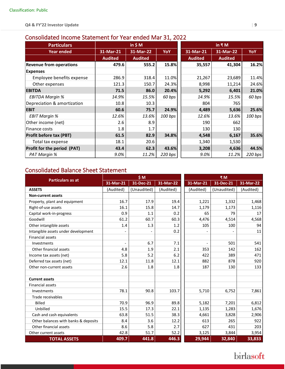## Consolidated Income Statement for Year ended Mar 31, 2022

| <b>Particulars</b>                 | in $$M$        |                | in $\bar{x}$ M |                |                |         |
|------------------------------------|----------------|----------------|----------------|----------------|----------------|---------|
| <b>Year ended</b>                  | 31-Mar-21      | 31-Mar-22      | <b>YoY</b>     | 31-Mar-21      | 31-Mar-22      | YoY     |
|                                    | <b>Audited</b> | <b>Audited</b> |                | <b>Audited</b> | <b>Audited</b> |         |
| <b>Revenue from operations</b>     | 479.6          | 555.2          | 15.8%          | 35,557         | 41,304         | 16.2%   |
| <b>Expenses</b>                    |                |                |                |                |                |         |
| Employee benefits expense          | 286.9          | 318.4          | 11.0%          | 21,267         | 23,689         | 11.4%   |
| Other expenses                     | 121.3          | 150.7          | 24.3%          | 8,998          | 11,214         | 24.6%   |
| <b>EBITDA</b>                      | 71.5           | 86.0           | 20.4%          | 5,292          | 6,401          | 21.0%   |
| <b>EBITDA Margin %</b>             | 14.9%          | 15.5%          | 60 bps         | 14.9%          | 15.5%          | 60 bps  |
| Depreciation & amortization        | 10.8           | 10.3           |                | 804            | 765            |         |
| <b>EBIT</b>                        | 60.6           | 75.7           | 24.9%          | 4,489          | 5,636          | 25.6%   |
| <b>EBIT Margin %</b>               | 12.6%          | 13.6%          | 100 bps        | 12.6%          | 13.6%          | 100 bps |
| Other income (net)                 | 2.6            | 8.9            |                | 190            | 662            |         |
| Finance costs                      | 1.8            | 1.7            |                | 130            | 130            |         |
| <b>Profit before tax (PBT)</b>     | 61.5           | 82.9           | 34.8%          | 4,548          | 6,167          | 35.6%   |
| Total tax expense                  | 18.1           | 20.6           |                | 1,340          | 1,530          |         |
| <b>Profit for the period (PAT)</b> | 43.4           | 62.3           | 43.6%          | 3,208          | 4,636          | 44.5%   |
| PAT Margin %                       | 9.0%           | 11.2%          | 220 bps        | 9.0%           | 11.2%          | 220 bps |

### Consolidated Balance Sheet Statement

| <b>Particulars as at</b>             | \$M       |             |           | ₹M        |             |           |  |
|--------------------------------------|-----------|-------------|-----------|-----------|-------------|-----------|--|
|                                      | 31-Mar-21 | 31-Dec-21   | 31-Mar-22 | 31-Mar-21 | 31-Dec-21   | 31-Mar-22 |  |
| <b>ASSETS</b>                        | (Audited) | (Unaudited) | (Audited) | (Audited) | (Unaudited) | (Audited) |  |
| <b>Non-current assets</b>            |           |             |           |           |             |           |  |
| Property, plant and equipment        | 16.7      | 17.9        | 19.4      | 1,221     | 1,332       | 1,468     |  |
| Right-of-use assets                  | 16.1      | 15.8        | 14.7      | 1,179     | 1,173       | 1,116     |  |
| Capital work-in-progress             | 0.9       | 1.1         | 0.2       | 65        | 79          | 17        |  |
| Goodwill                             | 61.2      | 60.7        | 60.3      | 4,476     | 4,514       | 4,568     |  |
| Other intangible assets              | 1.4       | 1.3         | 1.2       | 105       | 100         | 94        |  |
| Intangible assets under development  |           |             | 0.2       |           |             | 11        |  |
| <b>Financial assets</b>              |           |             |           |           |             |           |  |
| Investments                          |           | 6.7         | 7.1       |           | 501         | 541       |  |
| Other financial assets               | 4.8       | 1.9         | 2.1       | 353       | 142         | 162       |  |
| Income tax assets (net)              | 5.8       | 5.2         | 6.2       | 422       | 389         | 471       |  |
| Deferred tax assets (net)            | 12.1      | 11.8        | 12.1      | 882       | 878         | 920       |  |
| Other non-current assets             | 2.6       | 1.8         | 1.8       | 187       | 130         | 133       |  |
|                                      |           |             |           |           |             |           |  |
| <b>Current assets</b>                |           |             |           |           |             |           |  |
| <b>Financial assets</b>              |           |             |           |           |             |           |  |
| Investments                          | 78.1      | 90.8        | 103.7     | 5,710     | 6,752       | 7,861     |  |
| Trade receivables                    |           |             |           |           |             |           |  |
| <b>Billed</b>                        | 70.9      | 96.9        | 89.8      | 5,182     | 7,201       | 6,812     |  |
| Unbilled                             | 15.5      | 17.3        | 22.1      | 1,135     | 1,283       | 1,676     |  |
| Cash and cash equivalents            | 63.8      | 51.5        | 38.3      | 4,661     | 3,828       | 2,906     |  |
| Other balances with banks & deposits | 8.4       | 3.6         | 12.2      | 613       | 265         | 922       |  |
| Other financial assets               | 8.6       | 5.8         | 2.7       | 627       | 431         | 203       |  |
| Other current assets                 | 42.8      | 51.7        | 52.2      | 3,125     | 3,844       | 3,954     |  |
| <b>TOTAL ASSETS</b>                  | 409.7     | 441.8       | 446.3     | 29,944    | 32,840      | 33,833    |  |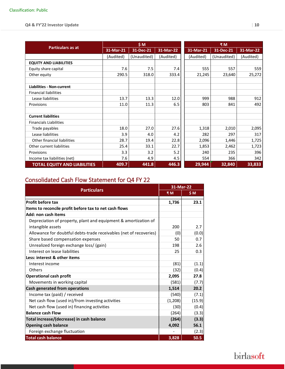|                                     | \$M\$     |             |           | ₹M        |             |           |  |
|-------------------------------------|-----------|-------------|-----------|-----------|-------------|-----------|--|
| <b>Particulars as at</b>            | 31-Mar-21 | 31-Dec-21   | 31-Mar-22 | 31-Mar-21 | 31-Dec-21   | 31-Mar-22 |  |
|                                     | (Audited) | (Unaudited) | (Audited) | (Audited) | (Unaudited) | (Audited) |  |
| <b>EQUITY AND LIABILITIES</b>       |           |             |           |           |             |           |  |
| Equity share capital                | 7.6       | 7.5         | 7.4       | 555       | 557         | 559       |  |
| Other equity                        | 290.5     | 318.0       | 333.4     | 21,245    | 23,640      | 25,272    |  |
|                                     |           |             |           |           |             |           |  |
| <b>Liabilities - Non-current</b>    |           |             |           |           |             |           |  |
| <b>Financial liabilities</b>        |           |             |           |           |             |           |  |
| Lease liabilities                   | 13.7      | 13.3        | 12.0      | 999       | 988         | 912       |  |
| Provisions                          | 11.0      | 11.3        | 6.5       | 803       | 841         | 492       |  |
|                                     |           |             |           |           |             |           |  |
| <b>Current liabilities</b>          |           |             |           |           |             |           |  |
| <b>Financials Liabilities</b>       |           |             |           |           |             |           |  |
| Trade payables                      | 18.0      | 27.0        | 27.6      | 1,318     | 2,010       | 2,095     |  |
| Lease liabilities                   | 3.9       | 4.0         | 4.2       | 282       | 297         | 317       |  |
| Other financial liabilities         | 28.7      | 19.4        | 22.8      | 2,096     | 1,446       | 1,725     |  |
| Other current liabilities           | 25.4      | 33.1        | 22.7      | 1,853     | 2,462       | 1,723     |  |
| Provisions                          | 3.3       | 3.2         | 5.2       | 240       | 235         | 396       |  |
| Income tax liabilities (net)        | 7.6       | 4.9         | 4.5       | 554       | 366         | 342       |  |
| <b>TOTAL EQUITY AND LIABILITIES</b> | 409.7     | 441.8       | 446.3     | 29,944    | 32,840      | 33,833    |  |

### Consolidated Cash Flow Statement for Q4 FY 22

|                                                                    |          | 31-Mar-22 |  |  |
|--------------------------------------------------------------------|----------|-----------|--|--|
| <b>Particulars</b>                                                 | ₹M       | \$M       |  |  |
| <b>Profit before tax</b>                                           | 1,736    | 23.1      |  |  |
| Items to reconcile profit before tax to net cash flows             |          |           |  |  |
| Add: non cash items                                                |          |           |  |  |
| Depreciation of property, plant and equipment & amortization of    |          |           |  |  |
| intangible assets                                                  | 200      | 2.7       |  |  |
| Allowance for doubtful debts-trade receivables (net of recoveries) | (0)      | (0.0)     |  |  |
| Share based compensation expenses                                  | 50       | 0.7       |  |  |
| Unrealized foreign exchange loss/ (gain)                           | 198      | 2.6       |  |  |
| Interest on lease liabilities                                      | 25       | 0.3       |  |  |
| Less: interest & other items                                       |          |           |  |  |
| Interest income                                                    | (81)     | (1.1)     |  |  |
| Others                                                             | (32)     | (0.4)     |  |  |
| <b>Operational cash profit</b>                                     | 2,095    | 27.8      |  |  |
| Movements in working capital                                       | (581)    | (7.7)     |  |  |
| Cash generated from operations                                     | 1,514    | 20.2      |  |  |
| Income tax (paid) / received                                       | (540)    | (7.1)     |  |  |
| Net cash flow (used in)/from investing activities                  | (1, 208) | (15.9)    |  |  |
| Net cash flow (used in) financing activities                       | (30)     | (0.4)     |  |  |
| <b>Balance cash Flow</b>                                           | (264)    | (3.3)     |  |  |
| Total increase/(decrease) in cash balance                          | (264)    | (3.3)     |  |  |
| <b>Opening cash balance</b>                                        | 4,092    | 56.1      |  |  |
| Foreign exchange fluctuation                                       |          | (2.3)     |  |  |
| <b>Total cash balance</b>                                          | 3,828    | 50.5      |  |  |